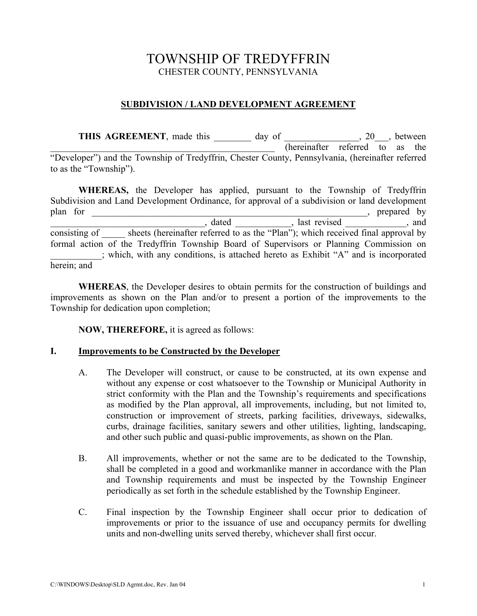# TOWNSHIP OF TREDYFFRIN CHESTER COUNTY, PENNSYLVANIA

## **SUBDIVISION / LAND DEVELOPMENT AGREEMENT**

THIS AGREEMENT, made this \_\_\_\_\_\_\_ day of \_\_\_\_\_\_\_\_\_\_\_, 20\_\_, between  $\sqrt{a}$  (hereinafter referred to as the "Developer") and the Township of Tredyffrin, Chester County, Pennsylvania, (hereinafter referred to as the "Township").

**WHEREAS,** the Developer has applied, pursuant to the Township of Tredyffrin Subdivision and Land Development Ordinance, for approval of a subdivision or land development plan for \_\_\_\_\_\_\_\_\_\_\_\_\_\_\_\_\_\_\_\_\_\_\_\_\_\_\_\_\_\_\_\_\_\_\_\_\_\_\_\_\_\_\_\_\_\_\_\_\_\_\_\_\_\_\_\_\_\_\_, prepared by dated and the set of the set of the set of the set of the set of the set of the set of the set of the set of the set of the set of the set of the set of the set of the set of the set of the set of the set of the set of the consisting of sheets (hereinafter referred to as the "Plan"); which received final approval by formal action of the Tredyffrin Township Board of Supervisors or Planning Commission on \_\_\_\_\_\_\_\_\_\_\_; which, with any conditions, is attached hereto as Exhibit "A" and is incorporated herein; and

**WHEREAS**, the Developer desires to obtain permits for the construction of buildings and improvements as shown on the Plan and/or to present a portion of the improvements to the Township for dedication upon completion;

**NOW, THEREFORE,** it is agreed as follows:

### **I. Improvements to be Constructed by the Developer**

- A. The Developer will construct, or cause to be constructed, at its own expense and without any expense or cost whatsoever to the Township or Municipal Authority in strict conformity with the Plan and the Township's requirements and specifications as modified by the Plan approval, all improvements, including, but not limited to, construction or improvement of streets, parking facilities, driveways, sidewalks, curbs, drainage facilities, sanitary sewers and other utilities, lighting, landscaping, and other such public and quasi-public improvements, as shown on the Plan.
- B. All improvements, whether or not the same are to be dedicated to the Township, shall be completed in a good and workmanlike manner in accordance with the Plan and Township requirements and must be inspected by the Township Engineer periodically as set forth in the schedule established by the Township Engineer.
- C. Final inspection by the Township Engineer shall occur prior to dedication of improvements or prior to the issuance of use and occupancy permits for dwelling units and non-dwelling units served thereby, whichever shall first occur.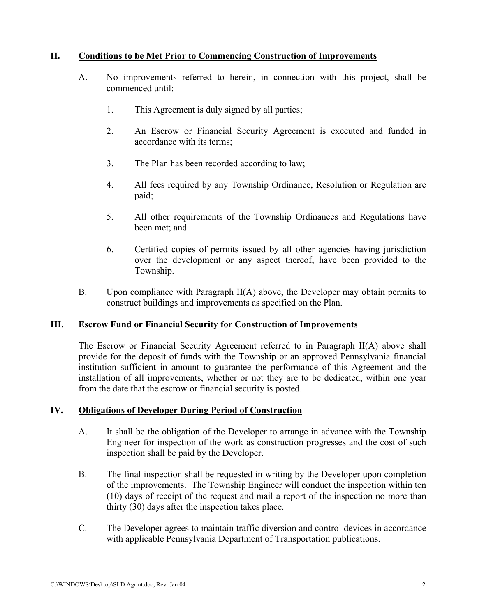### **II. Conditions to be Met Prior to Commencing Construction of Improvements**

- A. No improvements referred to herein, in connection with this project, shall be commenced until:
	- 1. This Agreement is duly signed by all parties;
	- 2. An Escrow or Financial Security Agreement is executed and funded in accordance with its terms;
	- 3. The Plan has been recorded according to law;
	- 4. All fees required by any Township Ordinance, Resolution or Regulation are paid;
	- 5. All other requirements of the Township Ordinances and Regulations have been met; and
	- 6. Certified copies of permits issued by all other agencies having jurisdiction over the development or any aspect thereof, have been provided to the Township.
- B. Upon compliance with Paragraph II(A) above, the Developer may obtain permits to construct buildings and improvements as specified on the Plan.

### **III. Escrow Fund or Financial Security for Construction of Improvements**

The Escrow or Financial Security Agreement referred to in Paragraph II(A) above shall provide for the deposit of funds with the Township or an approved Pennsylvania financial institution sufficient in amount to guarantee the performance of this Agreement and the installation of all improvements, whether or not they are to be dedicated, within one year from the date that the escrow or financial security is posted.

### **IV. Obligations of Developer During Period of Construction**

- A. It shall be the obligation of the Developer to arrange in advance with the Township Engineer for inspection of the work as construction progresses and the cost of such inspection shall be paid by the Developer.
- B. The final inspection shall be requested in writing by the Developer upon completion of the improvements. The Township Engineer will conduct the inspection within ten (10) days of receipt of the request and mail a report of the inspection no more than thirty (30) days after the inspection takes place.
- C. The Developer agrees to maintain traffic diversion and control devices in accordance with applicable Pennsylvania Department of Transportation publications.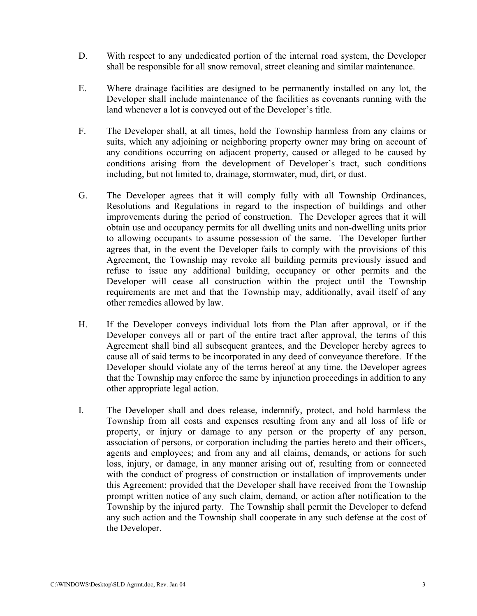- D. With respect to any undedicated portion of the internal road system, the Developer shall be responsible for all snow removal, street cleaning and similar maintenance.
- E. Where drainage facilities are designed to be permanently installed on any lot, the Developer shall include maintenance of the facilities as covenants running with the land whenever a lot is conveyed out of the Developer's title.
- F. The Developer shall, at all times, hold the Township harmless from any claims or suits, which any adjoining or neighboring property owner may bring on account of any conditions occurring on adjacent property, caused or alleged to be caused by conditions arising from the development of Developer's tract, such conditions including, but not limited to, drainage, stormwater, mud, dirt, or dust.
- G. The Developer agrees that it will comply fully with all Township Ordinances, Resolutions and Regulations in regard to the inspection of buildings and other improvements during the period of construction. The Developer agrees that it will obtain use and occupancy permits for all dwelling units and non-dwelling units prior to allowing occupants to assume possession of the same. The Developer further agrees that, in the event the Developer fails to comply with the provisions of this Agreement, the Township may revoke all building permits previously issued and refuse to issue any additional building, occupancy or other permits and the Developer will cease all construction within the project until the Township requirements are met and that the Township may, additionally, avail itself of any other remedies allowed by law.
- H. If the Developer conveys individual lots from the Plan after approval, or if the Developer conveys all or part of the entire tract after approval, the terms of this Agreement shall bind all subsequent grantees, and the Developer hereby agrees to cause all of said terms to be incorporated in any deed of conveyance therefore. If the Developer should violate any of the terms hereof at any time, the Developer agrees that the Township may enforce the same by injunction proceedings in addition to any other appropriate legal action.
- I. The Developer shall and does release, indemnify, protect, and hold harmless the Township from all costs and expenses resulting from any and all loss of life or property, or injury or damage to any person or the property of any person, association of persons, or corporation including the parties hereto and their officers, agents and employees; and from any and all claims, demands, or actions for such loss, injury, or damage, in any manner arising out of, resulting from or connected with the conduct of progress of construction or installation of improvements under this Agreement; provided that the Developer shall have received from the Township prompt written notice of any such claim, demand, or action after notification to the Township by the injured party. The Township shall permit the Developer to defend any such action and the Township shall cooperate in any such defense at the cost of the Developer.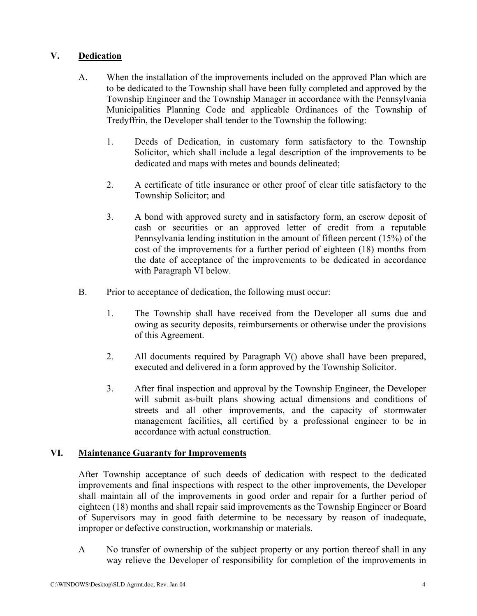# **V. Dedication**

- A. When the installation of the improvements included on the approved Plan which are to be dedicated to the Township shall have been fully completed and approved by the Township Engineer and the Township Manager in accordance with the Pennsylvania Municipalities Planning Code and applicable Ordinances of the Township of Tredyffrin, the Developer shall tender to the Township the following:
	- 1. Deeds of Dedication, in customary form satisfactory to the Township Solicitor, which shall include a legal description of the improvements to be dedicated and maps with metes and bounds delineated;
	- 2. A certificate of title insurance or other proof of clear title satisfactory to the Township Solicitor; and
	- 3. A bond with approved surety and in satisfactory form, an escrow deposit of cash or securities or an approved letter of credit from a reputable Pennsylvania lending institution in the amount of fifteen percent (15%) of the cost of the improvements for a further period of eighteen (18) months from the date of acceptance of the improvements to be dedicated in accordance with Paragraph VI below.
- B. Prior to acceptance of dedication, the following must occur:
	- 1. The Township shall have received from the Developer all sums due and owing as security deposits, reimbursements or otherwise under the provisions of this Agreement.
	- 2. All documents required by Paragraph V() above shall have been prepared, executed and delivered in a form approved by the Township Solicitor.
	- 3. After final inspection and approval by the Township Engineer, the Developer will submit as-built plans showing actual dimensions and conditions of streets and all other improvements, and the capacity of stormwater management facilities, all certified by a professional engineer to be in accordance with actual construction.

# **VI. Maintenance Guaranty for Improvements**

After Township acceptance of such deeds of dedication with respect to the dedicated improvements and final inspections with respect to the other improvements, the Developer shall maintain all of the improvements in good order and repair for a further period of eighteen (18) months and shall repair said improvements as the Township Engineer or Board of Supervisors may in good faith determine to be necessary by reason of inadequate, improper or defective construction, workmanship or materials.

A No transfer of ownership of the subject property or any portion thereof shall in any way relieve the Developer of responsibility for completion of the improvements in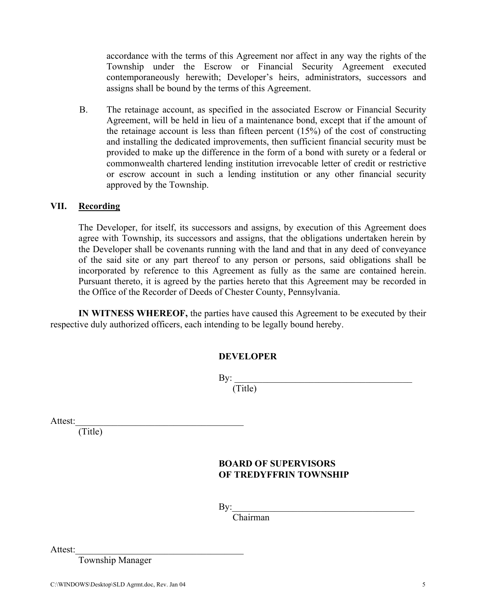accordance with the terms of this Agreement nor affect in any way the rights of the Township under the Escrow or Financial Security Agreement executed contemporaneously herewith; Developer's heirs, administrators, successors and assigns shall be bound by the terms of this Agreement.

B. The retainage account, as specified in the associated Escrow or Financial Security Agreement, will be held in lieu of a maintenance bond, except that if the amount of the retainage account is less than fifteen percent (15%) of the cost of constructing and installing the dedicated improvements, then sufficient financial security must be provided to make up the difference in the form of a bond with surety or a federal or commonwealth chartered lending institution irrevocable letter of credit or restrictive or escrow account in such a lending institution or any other financial security approved by the Township.

#### **VII. Recording**

The Developer, for itself, its successors and assigns, by execution of this Agreement does agree with Township, its successors and assigns, that the obligations undertaken herein by the Developer shall be covenants running with the land and that in any deed of conveyance of the said site or any part thereof to any person or persons, said obligations shall be incorporated by reference to this Agreement as fully as the same are contained herein. Pursuant thereto, it is agreed by the parties hereto that this Agreement may be recorded in the Office of the Recorder of Deeds of Chester County, Pennsylvania.

**IN WITNESS WHEREOF,** the parties have caused this Agreement to be executed by their respective duly authorized officers, each intending to be legally bound hereby.

| <b>DEVELOPER</b> |
|------------------|
|------------------|

 $\mathbf{By:}$ (Title)

Attest:

(Title)

### **BOARD OF SUPERVISORS OF TREDYFFRIN TOWNSHIP**

 $\mathbf{By:}$ 

Chairman

Attest:

Township Manager